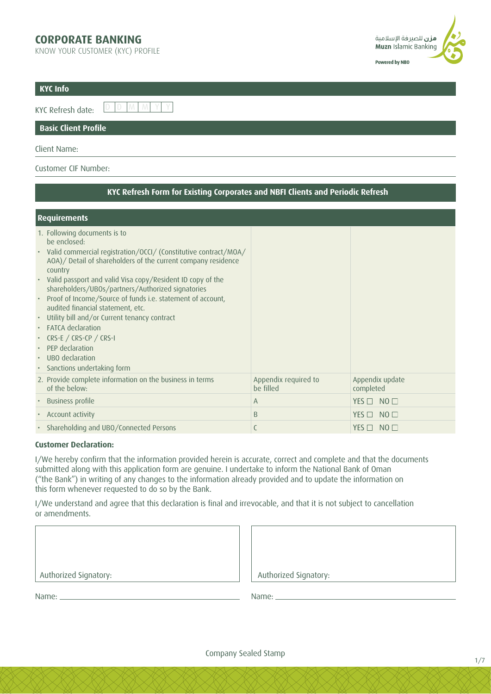## **CORPORATE BANKING**

KNOW YOUR CUSTOMER (KYC) PROFILE



| KYC Info                    |  |
|-----------------------------|--|
|                             |  |
| <b>Basic Client Profile</b> |  |

#### Client Name:

### Customer CIF Number:

| KYC Refresh Form for Existing Corporates and NBFI Clients and Periodic Refresh                                                                                                                                                                                                                                                                                                                                                                                                                                                                                                                                 |                                   |                              |  |  |  |  |
|----------------------------------------------------------------------------------------------------------------------------------------------------------------------------------------------------------------------------------------------------------------------------------------------------------------------------------------------------------------------------------------------------------------------------------------------------------------------------------------------------------------------------------------------------------------------------------------------------------------|-----------------------------------|------------------------------|--|--|--|--|
| <b>Requirements</b>                                                                                                                                                                                                                                                                                                                                                                                                                                                                                                                                                                                            |                                   |                              |  |  |  |  |
| 1. Following documents is to<br>be enclosed:<br>• Valid commercial registration/OCCI/ (Constitutive contract/MOA/<br>AOA) / Detail of shareholders of the current company residence<br>country<br>• Valid passport and valid Visa copy/Resident ID copy of the<br>shareholders/UBOs/partners/Authorized signatories<br>Proof of Income/Source of funds i.e. statement of account,<br>audited financial statement, etc.<br>Utility bill and/or Current tenancy contract<br>• FATCA declaration<br>• CRS-E / CRS-CP / CRS-I<br>• PFP declaration<br>• UBO declaration<br>Sanctions undertaking form<br>$\bullet$ |                                   |                              |  |  |  |  |
| 2. Provide complete information on the business in terms<br>of the below:                                                                                                                                                                                                                                                                                                                                                                                                                                                                                                                                      | Appendix required to<br>be filled | Appendix update<br>completed |  |  |  |  |
| • Business profile                                                                                                                                                                                                                                                                                                                                                                                                                                                                                                                                                                                             | A                                 | $YES \Box NO \Box$           |  |  |  |  |
| • Account activity                                                                                                                                                                                                                                                                                                                                                                                                                                                                                                                                                                                             | B                                 | $NO$ $\square$<br>YES $\Box$ |  |  |  |  |
| • Shareholding and UBO/Connected Persons                                                                                                                                                                                                                                                                                                                                                                                                                                                                                                                                                                       | C                                 | $YES \Box NO \Box$           |  |  |  |  |

### **Customer Declaration:**

I/We hereby confirm that the information provided herein is accurate, correct and complete and that the documents submitted along with this application form are genuine. I undertake to inform the National Bank of Oman ("the Bank") in writing of any changes to the information already provided and to update the information on this form whenever requested to do so by the Bank.

I/We understand and agree that this declaration is final and irrevocable, and that it is not subject to cancellation or amendments.

Authorized Signatory: Authorized Signatory:

| Authorized Signatory: |  |  |
|-----------------------|--|--|
|                       |  |  |

Name: Name: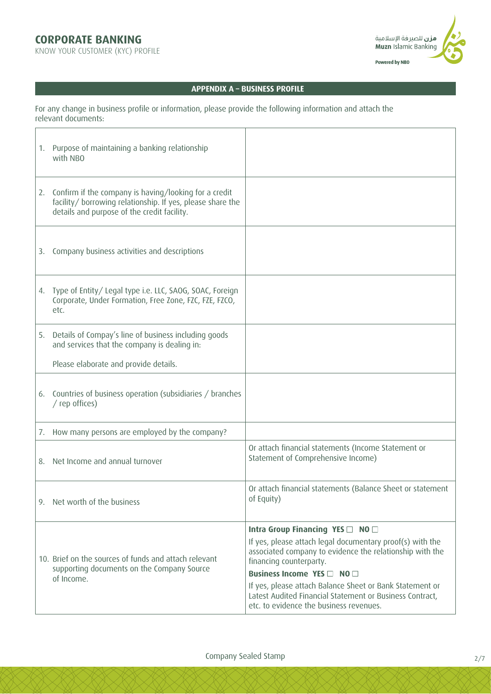# **CORPORATE BANKING**

KNOW YOUR CUSTOMER (KYC) PROFILE



### **APPENDIX A – BUSINESS PROFILE**

For any change in business profile or information, please provide the following information and attach the relevant documents:

|    | 1. Purpose of maintaining a banking relationship<br>with NBO                                                                                                       |                                                                                                                                                                                                                                                                                                                                                                                       |
|----|--------------------------------------------------------------------------------------------------------------------------------------------------------------------|---------------------------------------------------------------------------------------------------------------------------------------------------------------------------------------------------------------------------------------------------------------------------------------------------------------------------------------------------------------------------------------|
| 2. | Confirm if the company is having/looking for a credit<br>facility/ borrowing relationship. If yes, please share the<br>details and purpose of the credit facility. |                                                                                                                                                                                                                                                                                                                                                                                       |
|    | 3. Company business activities and descriptions                                                                                                                    |                                                                                                                                                                                                                                                                                                                                                                                       |
| 4. | Type of Entity/Legal type i.e. LLC, SAOG, SOAC, Foreign<br>Corporate, Under Formation, Free Zone, FZC, FZE, FZCO,<br>etc.                                          |                                                                                                                                                                                                                                                                                                                                                                                       |
| 5. | Details of Compay's line of business including goods<br>and services that the company is dealing in:                                                               |                                                                                                                                                                                                                                                                                                                                                                                       |
|    | Please elaborate and provide details.                                                                                                                              |                                                                                                                                                                                                                                                                                                                                                                                       |
|    | 6. Countries of business operation (subsidiaries / branches<br>/ rep offices)                                                                                      |                                                                                                                                                                                                                                                                                                                                                                                       |
|    | 7. How many persons are employed by the company?                                                                                                                   |                                                                                                                                                                                                                                                                                                                                                                                       |
|    | 8. Net Income and annual turnover                                                                                                                                  | Or attach financial statements (Income Statement or<br>Statement of Comprehensive Income)                                                                                                                                                                                                                                                                                             |
|    | 9. Net worth of the business                                                                                                                                       | Or attach financial statements (Balance Sheet or statement<br>of Equity)                                                                                                                                                                                                                                                                                                              |
|    | 10. Brief on the sources of funds and attach relevant<br>supporting documents on the Company Source<br>of Income.                                                  | Intra Group Financing YES □ NO □<br>If yes, please attach legal documentary proof(s) with the<br>associated company to evidence the relationship with the<br>financing counterparty.<br>Business Income YES □ NO □<br>If yes, please attach Balance Sheet or Bank Statement or<br>Latest Audited Financial Statement or Business Contract,<br>etc. to evidence the business revenues. |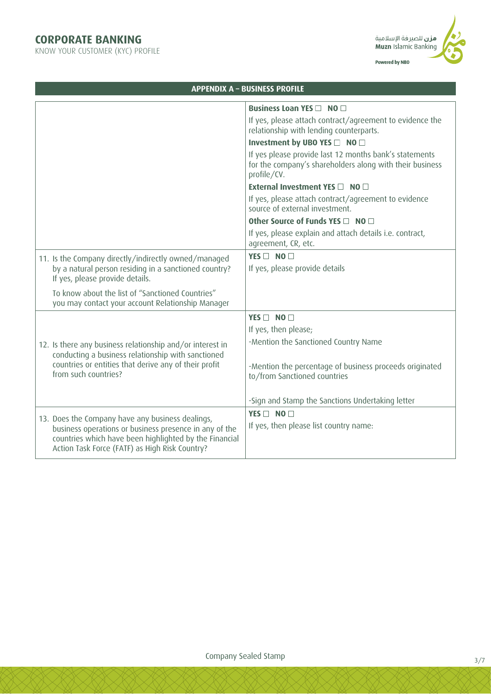KNOW YOUR CUSTOMER (KYC) PROFILE



|                                                                                                                                                                    | <b>APPENDIX A - BUSINESS PROFILE</b>                                                                                              |
|--------------------------------------------------------------------------------------------------------------------------------------------------------------------|-----------------------------------------------------------------------------------------------------------------------------------|
|                                                                                                                                                                    | Business Loan YES □ NO □                                                                                                          |
|                                                                                                                                                                    | If yes, please attach contract/agreement to evidence the<br>relationship with lending counterparts.                               |
|                                                                                                                                                                    | Investment by UBO YES □ NO □                                                                                                      |
|                                                                                                                                                                    | If yes please provide last 12 months bank's statements<br>for the company's shareholders along with their business<br>profile/CV. |
|                                                                                                                                                                    | External Investment YES □ NO □                                                                                                    |
|                                                                                                                                                                    | If yes, please attach contract/agreement to evidence<br>source of external investment.                                            |
|                                                                                                                                                                    | Other Source of Funds YES □ NO □                                                                                                  |
|                                                                                                                                                                    | If yes, please explain and attach details i.e. contract,<br>agreement, CR, etc.                                                   |
| 11. Is the Company directly/indirectly owned/managed                                                                                                               | $YFS \Box NO \Box$                                                                                                                |
| by a natural person residing in a sanctioned country?<br>If yes, please provide details.                                                                           | If yes, please provide details                                                                                                    |
| To know about the list of "Sanctioned Countries"<br>you may contact your account Relationship Manager                                                              |                                                                                                                                   |
|                                                                                                                                                                    | YES $\Box$ NO $\Box$                                                                                                              |
|                                                                                                                                                                    | If yes, then please;                                                                                                              |
| 12. Is there any business relationship and/or interest in<br>conducting a business relationship with sanctioned                                                    | -Mention the Sanctioned Country Name                                                                                              |
| countries or entities that derive any of their profit<br>from such countries?                                                                                      | -Mention the percentage of business proceeds originated<br>to/from Sanctioned countries                                           |
|                                                                                                                                                                    | -Sign and Stamp the Sanctions Undertaking letter                                                                                  |
| 13. Does the Company have any business dealings,                                                                                                                   | YES $\Box$ NO $\Box$                                                                                                              |
| business operations or business presence in any of the<br>countries which have been highlighted by the Financial<br>Action Task Force (FATF) as High Risk Country? | If yes, then please list country name:                                                                                            |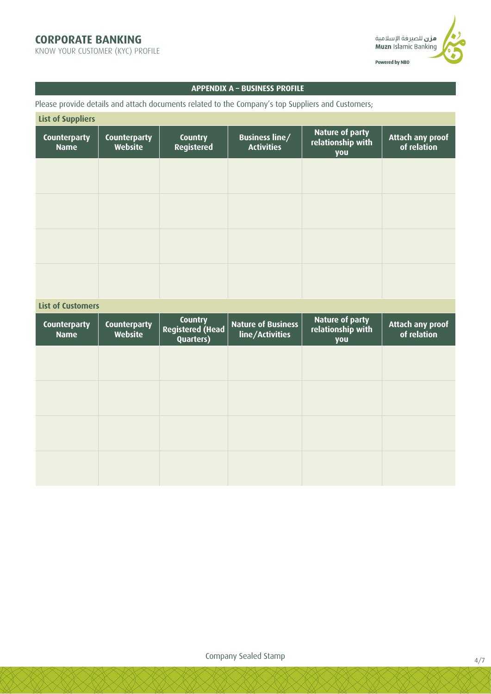KNOW YOUR CUSTOMER (KYC) PROFILE



### **APPENDIX A – BUSINESS PROFILE**

Please provide details and attach documents related to the Company's top Suppliers and Customers;

| <b>List of Suppliers</b>           |                                |                                     |                                            |                                             |                                 |  |  |
|------------------------------------|--------------------------------|-------------------------------------|--------------------------------------------|---------------------------------------------|---------------------------------|--|--|
| <b>Counterparty</b><br><b>Name</b> | <b>Counterparty</b><br>Website | <b>Country</b><br><b>Registered</b> | <b>Business line/</b><br><b>Activities</b> | Nature of party<br>relationship with<br>you | Attach any proof<br>of relation |  |  |
|                                    |                                |                                     |                                            |                                             |                                 |  |  |
|                                    |                                |                                     |                                            |                                             |                                 |  |  |
|                                    |                                |                                     |                                            |                                             |                                 |  |  |
|                                    |                                |                                     |                                            |                                             |                                 |  |  |
| liet of Customage                  |                                |                                     |                                            |                                             |                                 |  |  |

| LIST OF CUSTOMERS                  |                                |                                                               |                                              |                                             |                                 |  |
|------------------------------------|--------------------------------|---------------------------------------------------------------|----------------------------------------------|---------------------------------------------|---------------------------------|--|
| <b>Counterparty</b><br><b>Name</b> | <b>Counterparty</b><br>Website | <b>Country</b><br><b>Registered (Head</b><br><b>Quarters)</b> | <b>Nature of Business</b><br>line/Activities | Nature of party<br>relationship with<br>you | Attach any proof<br>of relation |  |
|                                    |                                |                                                               |                                              |                                             |                                 |  |
|                                    |                                |                                                               |                                              |                                             |                                 |  |
|                                    |                                |                                                               |                                              |                                             |                                 |  |
|                                    |                                |                                                               |                                              |                                             |                                 |  |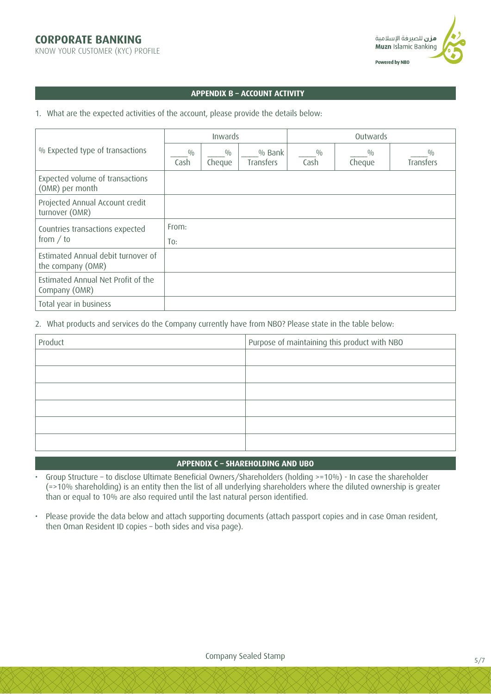KNOW YOUR CUSTOMER (KYC) PROFILE



#### **APPENDIX B – ACCOUNT ACTIVITY**

1. What are the expected activities of the account, please provide the details below:

|                                                     | Inwards      |               |                     | Outwards    |               |                  |
|-----------------------------------------------------|--------------|---------------|---------------------|-------------|---------------|------------------|
| % Expected type of transactions                     | 0/0<br>Cash  | 0/0<br>Cheque | % Bank<br>Transfers | 0/0<br>Cash | 0/0<br>Cheque | 0/0<br>Transfers |
| Expected volume of transactions<br>(OMR) per month  |              |               |                     |             |               |                  |
| Projected Annual Account credit<br>turnover (OMR)   |              |               |                     |             |               |                  |
| Countries transactions expected<br>from $/$ to      | From:<br>To: |               |                     |             |               |                  |
| Estimated Annual debit turnover of                  |              |               |                     |             |               |                  |
| the company (OMR)                                   |              |               |                     |             |               |                  |
| Estimated Annual Net Profit of the<br>Company (OMR) |              |               |                     |             |               |                  |
| Total year in business                              |              |               |                     |             |               |                  |

2. What products and services do the Company currently have from NBO? Please state in the table below:

| Product | Purpose of maintaining this product with NBO |  |  |  |
|---------|----------------------------------------------|--|--|--|
|         |                                              |  |  |  |
|         |                                              |  |  |  |
|         |                                              |  |  |  |
|         |                                              |  |  |  |
|         |                                              |  |  |  |
|         |                                              |  |  |  |

### **APPENDIX C – SHAREHOLDING AND UBO**

- Group Structure to disclose Ultimate Beneficial Owners/Shareholders (holding >=10%) In case the shareholder (=>10% shareholding) is an entity then the list of all underlying shareholders where the diluted ownership is greater than or equal to 10% are also required until the last natural person identified.
- Please provide the data below and attach supporting documents (attach passport copies and in case Oman resident, then Oman Resident ID copies – both sides and visa page).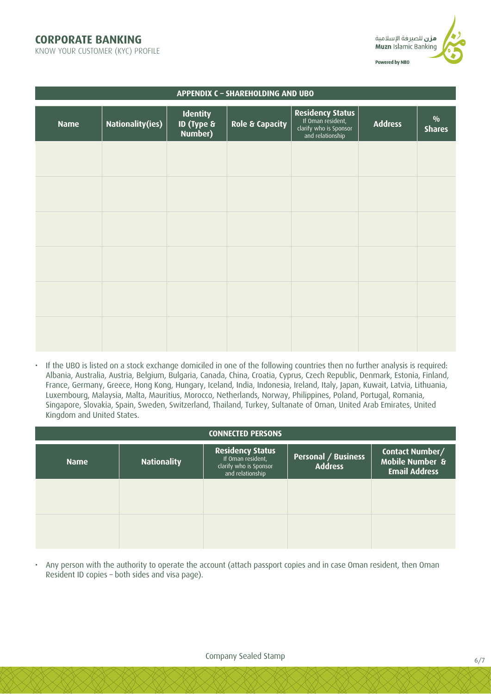## **CORPORATE BANKING**

KNOW YOUR CUSTOMER (KYC) PROFILE



| APPENDIX C - SHAREHOLDING AND UBO |                         |                                                     |                 |                                                                                     |                |                                |  |
|-----------------------------------|-------------------------|-----------------------------------------------------|-----------------|-------------------------------------------------------------------------------------|----------------|--------------------------------|--|
| <b>Name</b>                       | <b>Nationality(ies)</b> | <b>Identity</b><br><b>ID (Type &amp;</b><br>Number) | Role & Capacity | Residency Status<br>If Oman resident,<br>clarify who is Sponsor<br>and relationship | <b>Address</b> | $\frac{0}{0}$<br><b>Shares</b> |  |
|                                   |                         |                                                     |                 |                                                                                     |                |                                |  |
|                                   |                         |                                                     |                 |                                                                                     |                |                                |  |
|                                   |                         |                                                     |                 |                                                                                     |                |                                |  |
|                                   |                         |                                                     |                 |                                                                                     |                |                                |  |
|                                   |                         |                                                     |                 |                                                                                     |                |                                |  |
|                                   |                         |                                                     |                 |                                                                                     |                |                                |  |

• If the UBO is listed on a stock exchange domiciled in one of the following countries then no further analysis is required: Albania, Australia, Austria, Belgium, Bulgaria, Canada, China, Croatia, Cyprus, Czech Republic, Denmark, Estonia, Finland, France, Germany, Greece, Hong Kong, Hungary, Iceland, India, Indonesia, Ireland, Italy, Japan, Kuwait, Latvia, Lithuania, Luxembourg, Malaysia, Malta, Mauritius, Morocco, Netherlands, Norway, Philippines, Poland, Portugal, Romania, Singapore, Slovakia, Spain, Sweden, Switzerland, Thailand, Turkey, Sultanate of Oman, United Arab Emirates, United Kingdom and United States.

| <b>CONNECTED PERSONS</b> |                    |                                                                                            |                                       |                                                            |  |  |  |
|--------------------------|--------------------|--------------------------------------------------------------------------------------------|---------------------------------------|------------------------------------------------------------|--|--|--|
| <b>Name</b>              | <b>Nationality</b> | <b>Residency Status</b><br>If Oman resident,<br>clarify who is Sponsor<br>and relationship | Personal / Business<br><b>Address</b> | Contact Number/<br>Mobile Number &<br><b>Email Address</b> |  |  |  |
|                          |                    |                                                                                            |                                       |                                                            |  |  |  |
|                          |                    |                                                                                            |                                       |                                                            |  |  |  |

• Any person with the authority to operate the account (attach passport copies and in case Oman resident, then Oman Resident ID copies – both sides and visa page).